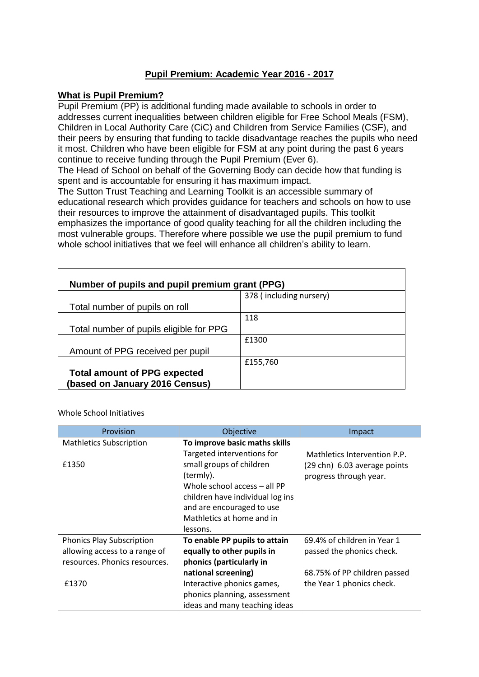## **Pupil Premium: Academic Year 2016 - 2017**

## **What is Pupil Premium?**

Pupil Premium (PP) is additional funding made available to schools in order to addresses current inequalities between children eligible for Free School Meals (FSM), Children in Local Authority Care (CiC) and Children from Service Families (CSF), and their peers by ensuring that funding to tackle disadvantage reaches the pupils who need it most. Children who have been eligible for FSM at any point during the past 6 years continue to receive funding through the Pupil Premium (Ever 6).

The Head of School on behalf of the Governing Body can decide how that funding is spent and is accountable for ensuring it has maximum impact.

The Sutton Trust Teaching and Learning Toolkit is an accessible summary of educational research which provides guidance for teachers and schools on how to use their resources to improve the attainment of disadvantaged pupils. This toolkit emphasizes the importance of good quality teaching for all the children including the most vulnerable groups. Therefore where possible we use the pupil premium to fund whole school initiatives that we feel will enhance all children's ability to learn.

| Number of pupils and pupil premium grant (PPG)                        |                         |
|-----------------------------------------------------------------------|-------------------------|
|                                                                       | 378 (including nursery) |
| Total number of pupils on roll                                        |                         |
|                                                                       | 118                     |
| Total number of pupils eligible for PPG                               |                         |
|                                                                       | £1300                   |
| Amount of PPG received per pupil                                      |                         |
|                                                                       | £155,760                |
| <b>Total amount of PPG expected</b><br>(based on January 2016 Census) |                         |

Whole School Initiatives

| Provision                        | Objective                        | Impact                       |
|----------------------------------|----------------------------------|------------------------------|
| <b>Mathletics Subscription</b>   | To improve basic maths skills    |                              |
|                                  | Targeted interventions for       | Mathletics Intervention P.P. |
| £1350                            | small groups of children         | (29 chn) 6.03 average points |
|                                  | (termly).                        | progress through year.       |
|                                  | Whole school access - all PP     |                              |
|                                  | children have individual log ins |                              |
|                                  | and are encouraged to use        |                              |
|                                  | Mathletics at home and in        |                              |
|                                  | lessons.                         |                              |
| <b>Phonics Play Subscription</b> | To enable PP pupils to attain    | 69.4% of children in Year 1  |
| allowing access to a range of    | equally to other pupils in       | passed the phonics check.    |
| resources. Phonics resources.    | phonics (particularly in         |                              |
|                                  | national screening)              | 68.75% of PP children passed |
| £1370                            | Interactive phonics games,       | the Year 1 phonics check.    |
|                                  | phonics planning, assessment     |                              |
|                                  | ideas and many teaching ideas    |                              |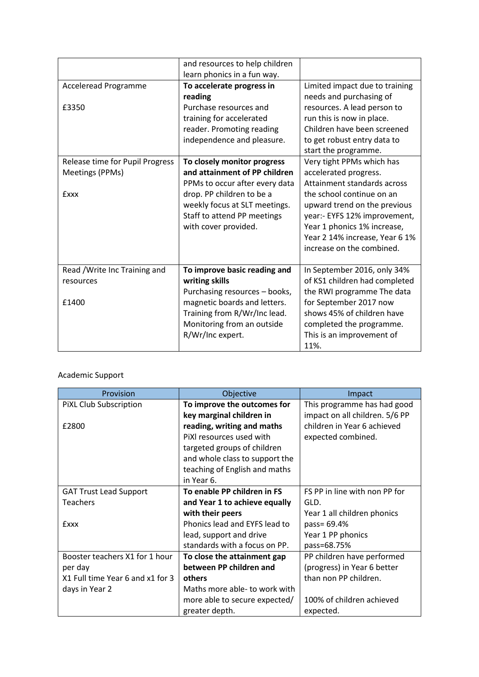|                                 | and resources to help children |                                |
|---------------------------------|--------------------------------|--------------------------------|
|                                 | learn phonics in a fun way.    |                                |
| <b>Acceleread Programme</b>     | To accelerate progress in      | Limited impact due to training |
|                                 | reading                        | needs and purchasing of        |
| £3350                           | Purchase resources and         | resources. A lead person to    |
|                                 | training for accelerated       | run this is now in place.      |
|                                 | reader. Promoting reading      | Children have been screened    |
|                                 | independence and pleasure.     | to get robust entry data to    |
|                                 |                                | start the programme.           |
| Release time for Pupil Progress | To closely monitor progress    | Very tight PPMs which has      |
| Meetings (PPMs)                 | and attainment of PP children  | accelerated progress.          |
|                                 | PPMs to occur after every data | Attainment standards across    |
| <b>Exxx</b>                     | drop. PP children to be a      | the school continue on an      |
|                                 | weekly focus at SLT meetings.  | upward trend on the previous   |
|                                 | Staff to attend PP meetings    | year:- EYFS 12% improvement,   |
|                                 | with cover provided.           | Year 1 phonics 1% increase,    |
|                                 |                                | Year 2 14% increase, Year 6 1% |
|                                 |                                | increase on the combined.      |
|                                 |                                |                                |
| Read / Write Inc Training and   | To improve basic reading and   | In September 2016, only 34%    |
| resources                       | writing skills                 | of KS1 children had completed  |
|                                 | Purchasing resources - books,  | the RWI programme The data     |
| £1400                           | magnetic boards and letters.   | for September 2017 now         |
|                                 | Training from R/Wr/Inc lead.   | shows 45% of children have     |
|                                 | Monitoring from an outside     | completed the programme.       |
|                                 | R/Wr/Inc expert.               | This is an improvement of      |
|                                 |                                | 11%.                           |

## Academic Support

| Provision                        | Objective                      | Impact                         |
|----------------------------------|--------------------------------|--------------------------------|
| PIXL Club Subscription           | To improve the outcomes for    | This programme has had good    |
|                                  | key marginal children in       | impact on all children. 5/6 PP |
| £2800                            | reading, writing and maths     | children in Year 6 achieved    |
|                                  | PiXI resources used with       | expected combined.             |
|                                  | targeted groups of children    |                                |
|                                  | and whole class to support the |                                |
|                                  | teaching of English and maths  |                                |
|                                  | in Year 6.                     |                                |
| <b>GAT Trust Lead Support</b>    | To enable PP children in FS    | FS PP in line with non PP for  |
| <b>Teachers</b>                  | and Year 1 to achieve equally  | GLD.                           |
|                                  | with their peers               | Year 1 all children phonics    |
| <b>Exxx</b>                      | Phonics lead and EYFS lead to  | pass= 69.4%                    |
|                                  | lead, support and drive        | Year 1 PP phonics              |
|                                  | standards with a focus on PP.  | pass=68.75%                    |
| Booster teachers X1 for 1 hour   | To close the attainment gap    | PP children have performed     |
| per day                          | between PP children and        | (progress) in Year 6 better    |
| X1 Full time Year 6 and x1 for 3 | others                         | than non PP children.          |
| days in Year 2                   | Maths more able- to work with  |                                |
|                                  | more able to secure expected/  | 100% of children achieved      |
|                                  | greater depth.                 | expected.                      |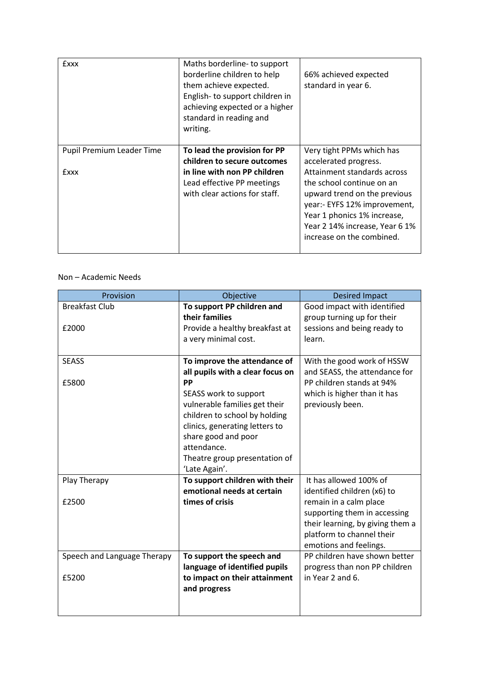| <b>Exxx</b>               | Maths borderline- to support<br>borderline children to help<br>them achieve expected.<br>English-to support children in<br>achieving expected or a higher<br>standard in reading and<br>writing. | 66% achieved expected<br>standard in year 6.                                                                                                                                                                           |
|---------------------------|--------------------------------------------------------------------------------------------------------------------------------------------------------------------------------------------------|------------------------------------------------------------------------------------------------------------------------------------------------------------------------------------------------------------------------|
| Pupil Premium Leader Time | To lead the provision for PP<br>children to secure outcomes                                                                                                                                      | Very tight PPMs which has<br>accelerated progress.                                                                                                                                                                     |
| <b>Exxx</b>               | in line with non PP children<br>Lead effective PP meetings<br>with clear actions for staff.                                                                                                      | Attainment standards across<br>the school continue on an<br>upward trend on the previous<br>year:- EYFS 12% improvement,<br>Year 1 phonics 1% increase,<br>Year 2 14% increase, Year 6 1%<br>increase on the combined. |

## Non – Academic Needs

| Provision                   | Objective                        | <b>Desired Impact</b>            |
|-----------------------------|----------------------------------|----------------------------------|
| <b>Breakfast Club</b>       | To support PP children and       | Good impact with identified      |
|                             | their families                   | group turning up for their       |
| £2000                       | Provide a healthy breakfast at   | sessions and being ready to      |
|                             | a very minimal cost.             | learn.                           |
|                             |                                  |                                  |
| <b>SEASS</b>                | To improve the attendance of     | With the good work of HSSW       |
|                             | all pupils with a clear focus on | and SEASS, the attendance for    |
| £5800                       | PP                               | PP children stands at 94%        |
|                             | SEASS work to support            | which is higher than it has      |
|                             | vulnerable families get their    | previously been.                 |
|                             | children to school by holding    |                                  |
|                             | clinics, generating letters to   |                                  |
|                             | share good and poor              |                                  |
|                             | attendance.                      |                                  |
|                             | Theatre group presentation of    |                                  |
|                             | 'Late Again'.                    |                                  |
| Play Therapy                | To support children with their   | It has allowed 100% of           |
|                             | emotional needs at certain       | identified children (x6) to      |
| £2500                       | times of crisis                  | remain in a calm place           |
|                             |                                  | supporting them in accessing     |
|                             |                                  | their learning, by giving them a |
|                             |                                  | platform to channel their        |
|                             |                                  | emotions and feelings.           |
| Speech and Language Therapy | To support the speech and        | PP children have shown better    |
|                             | language of identified pupils    | progress than non PP children    |
| £5200                       | to impact on their attainment    | in Year 2 and 6.                 |
|                             | and progress                     |                                  |
|                             |                                  |                                  |
|                             |                                  |                                  |